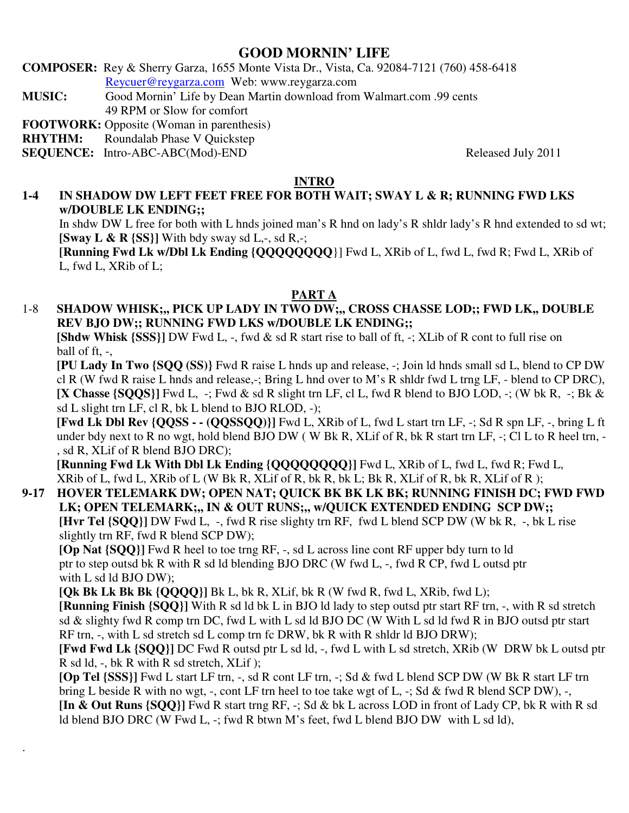# **GOOD MORNIN' LIFE**

**COMPOSER:** Rey & Sherry Garza, 1655 Monte Vista Dr., Vista, Ca. 92084-7121 (760) 458-6418 Reycuer@reygarza.com Web: www.reygarza.com

**MUSIC:** Good Mornin' Life by Dean Martin download from Walmart.com .99 cents 49 RPM or Slow for comfort

**FOOTWORK:** Opposite (Woman in parenthesis)

**RHYTHM:** Roundalab Phase V Quickstep

**SEQUENCE:** Intro-ABC-ABC(Mod)-END Released July 2011

.

## **INTRO**

# **1-4 IN SHADOW DW LEFT FEET FREE FOR BOTH WAIT; SWAY L & R; RUNNING FWD LKS w/DOUBLE LK ENDING;;**

In shdw DW L free for both with L hnds joined man's R hnd on lady's R shldr lady's R hnd extended to sd wt; **[Sway L & R {SS}]** With bdy sway sd L,-, sd R,-;

**[Running Fwd Lk w/Dbl Lk Ending {QQQQQQQQ**}] Fwd L, XRib of L, fwd L, fwd R; Fwd L, XRib of L, fwd L, XRib of L;

## **PART A**

# 1-8 **SHADOW WHISK;,, PICK UP LADY IN TWO DW;,, CROSS CHASSE LOD;; FWD LK,, DOUBLE REV BJO DW;; RUNNING FWD LKS w/DOUBLE LK ENDING;;**

**[Shdw Whisk {SSS}]** DW Fwd L, -, fwd & sd R start rise to ball of ft, -; XLib of R cont to full rise on ball of ft,  $\overline{\phantom{a}}$ ,

**[PU Lady In Two {SQQ (SS)}** Fwd R raise L hnds up and release, -; Join ld hnds small sd L, blend to CP DW cl R (W fwd R raise L hnds and release,-; Bring L hnd over to M's R shldr fwd L trng LF, - blend to CP DRC), **[X Chasse {SQQS}]** Fwd L, -; Fwd & sd R slight trn LF, cl L, fwd R blend to BJO LOD, -; (W bk R, -; Bk & sd L slight trn LF, cl R, bk L blend to BJO RLOD, -);

**[Fwd Lk Dbl Rev {QQSS - - (QQSSQQ)}]** Fwd L, XRib of L, fwd L start trn LF, -; Sd R spn LF, -, bring L ft under bdy next to R no wgt, hold blend BJO DW (W Bk R, XLif of R, bk R start trn LF, -; Cl L to R heel trn, -, sd R, XLif of R blend BJO DRC);

**[Running Fwd Lk With Dbl Lk Ending {QQQQQQQQ}]** Fwd L, XRib of L, fwd L, fwd R; Fwd L, XRib of L, fwd L, XRib of L (W Bk R, XLif of R, bk R, bk L; Bk R, XLif of R, bk R, XLif of R );

# **9-17 HOVER TELEMARK DW; OPEN NAT; QUICK BK BK LK BK; RUNNING FINISH DC; FWD FWD**  LK; OPEN TELEMARK;,, IN & OUT RUNS;,, w/QUICK EXTENDED ENDING SCP DW;;

**[Hvr Tel {SQQ}]** DW Fwd L, -, fwd R rise slighty trn RF, fwd L blend SCP DW (W bk R, -, bk L rise slightly trn RF, fwd R blend SCP DW);

**[Op Nat {SQQ}]** Fwd R heel to toe trng RF, -, sd L across line cont RF upper bdy turn to ld ptr to step outsd bk R with R sd ld blending BJO DRC (W fwd L, -, fwd R CP, fwd L outsd ptr with L sd ld BJO DW):

**[Qk Bk Lk Bk Bk {QQQQ}]** Bk L, bk R, XLif, bk R (W fwd R, fwd L, XRib, fwd L);

**[Running Finish {SQQ}]** With R sd ld bk L in BJO ld lady to step outsd ptr start RF trn, -, with R sd stretch sd & slighty fwd R comp trn DC, fwd L with L sd ld BJO DC (W With L sd ld fwd R in BJO outsd ptr start RF trn, -, with L sd stretch sd L comp trn fc DRW, bk R with R shldr ld BJO DRW);

**[Fwd Fwd Lk {SQQ}]** DC Fwd R outsd ptr L sd ld, -, fwd L with L sd stretch, XRib (W DRW bk L outsd ptr R sd ld, -, bk R with R sd stretch, XLif );

**[Op Tel {SSS}]** Fwd L start LF trn, -, sd R cont LF trn, -; Sd & fwd L blend SCP DW (W Bk R start LF trn bring L beside R with no wgt, -, cont LF trn heel to toe take wgt of L, -; Sd & fwd R blend SCP DW), -, **[In & Out Runs {SQQ}]** Fwd R start trng RF, -; Sd & bk L across LOD in front of Lady CP, bk R with R sd ld blend BJO DRC (W Fwd L, -; fwd R btwn M's feet, fwd L blend BJO DW with L sd ld),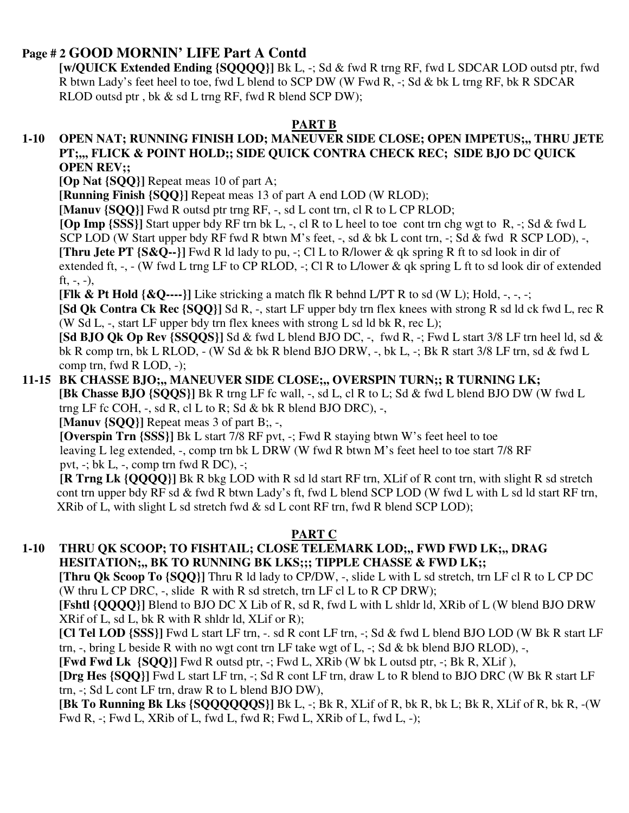# **Page # 2 GOOD MORNIN' LIFE Part A Contd**

**[w/QUICK Extended Ending {SQQQQ}]** Bk L, -; Sd & fwd R trng RF, fwd L SDCAR LOD outsd ptr, fwd R btwn Lady's feet heel to toe, fwd L blend to SCP DW (W Fwd R, -; Sd & bk L trng RF, bk R SDCAR RLOD outsd ptr , bk & sd L trng RF, fwd R blend SCP DW);

## **PART B**

#### **1-10 OPEN NAT; RUNNING FINISH LOD; MANEUVER SIDE CLOSE; OPEN IMPETUS;,, THRU JETE PT;,,, FLICK & POINT HOLD;; SIDE QUICK CONTRA CHECK REC; SIDE BJO DC QUICK OPEN REV;;**

**[Op Nat {SQQ}]** Repeat meas 10 of part A;

**[Running Finish {SQQ}]** Repeat meas 13 of part A end LOD (W RLOD);

**[Manuv {SQQ}]** Fwd R outsd ptr trng RF, -, sd L cont trn, cl R to L CP RLOD;

 **[Op Imp {SSS}]** Start upper bdy RF trn bk L, -, cl R to L heel to toe cont trn chg wgt to R, -; Sd & fwd L

SCP LOD (W Start upper bdy RF fwd R btwn M's feet, -, sd & bk L cont trn, -; Sd & fwd R SCP LOD), -, **[Thru Jete PT {S&Q--}]** Fwd R ld lady to pu, -; Cl L to R/lower & qk spring R ft to sd look in dir of extended ft, -, - (W fwd L trng LF to CP RLOD, -; Cl R to L/lower & qk spring L ft to sd look dir of extended ft,  $-$ ,  $-$ ),

**[Flk & Pt Hold**  $\{\&Q--\}\$ ] Like stricking a match flk R behnd L/PT R to sd (W L); Hold,  $\text{-}$ ,  $\text{-}$ ;

**[Sd Qk Contra Ck Rec {SQQ}]** Sd R, -, start LF upper bdy trn flex knees with strong R sd ld ck fwd L, rec R (W Sd L,  $-$ , start LF upper bdy trn flex knees with strong L sd ld bk R, rec L);

**[Sd BJO Qk Op Rev {SSQQS}]** Sd & fwd L blend BJO DC, -, fwd R, -; Fwd L start 3/8 LF trn heel ld, sd & bk R comp trn, bk L RLOD, - (W Sd & bk R blend BJO DRW, -, bk L, -; Bk R start 3/8 LF trn, sd & fwd L comp trn, fwd R LOD, -);

#### **11-15 BK CHASSE BJO;,, MANEUVER SIDE CLOSE;,, OVERSPIN TURN;; R TURNING LK; [Bk Chasse BJO {SQQS}]** Bk R trng LF fc wall, -, sd L, cl R to L; Sd & fwd L blend BJO DW (W fwd L trng LF fc COH,  $-$ , sd R, cl L to R; Sd & bk R blend BJO DRC),  $-$ ,

**[Manuv {SQQ}]** Repeat meas 3 of part B;, -,

**[Overspin Trn {SSS}]** Bk L start 7/8 RF pvt, -; Fwd R staying btwn W's feet heel to toe leaving L leg extended, -, comp trn bk L DRW (W fwd R btwn M's feet heel to toe start 7/8 RF pvt,  $-$ ; bk L,  $-$ , comp trn fwd R DC),  $-$ ;

 **[R Trng Lk {QQQQ}]** Bk R bkg LOD with R sd ld start RF trn, XLif of R cont trn, with slight R sd stretch cont trn upper bdy RF sd & fwd R btwn Lady's ft, fwd L blend SCP LOD (W fwd L with L sd ld start RF trn, XRib of L, with slight L sd stretch fwd  $\&$  sd L cont RF trn, fwd R blend SCP LOD);

# **PART C**

## **1-10 THRU QK SCOOP; TO FISHTAIL; CLOSE TELEMARK LOD;,, FWD FWD LK;,, DRAG HESITATION;,, BK TO RUNNING BK LKS;;; TIPPLE CHASSE & FWD LK;;**

**[Thru Qk Scoop To {SQQ}]** Thru R ld lady to CP/DW, -, slide L with L sd stretch, trn LF cl R to L CP DC (W thru L CP DRC,  $-$ , slide R with R sd stretch, trn LF cl L to R CP DRW);

**[Fshtl {QQQQ}]** Blend to BJO DC X Lib of R, sd R, fwd L with L shldr ld, XRib of L (W blend BJO DRW XRif of L, sd L, bk R with R shldr ld, XLif or R);

**[Cl Tel LOD {SSS}]** Fwd L start LF trn, -. sd R cont LF trn, -; Sd & fwd L blend BJO LOD (W Bk R start LF trn,  $-$ , bring L beside R with no wgt cont trn LF take wgt of L,  $-$ ; Sd & bk blend BJO RLOD),  $-$ ,

**[Fwd Fwd Lk {SQQ}]** Fwd R outsd ptr, -; Fwd L, XRib (W bk L outsd ptr, -; Bk R, XLif ),

**[Drg Hes {SQQ}]** Fwd L start LF trn, -; Sd R cont LF trn, draw L to R blend to BJO DRC (W Bk R start LF trn, -; Sd L cont LF trn, draw R to L blend BJO DW),

**[Bk To Running Bk Lks {SQQQQQQS}]** Bk L, -; Bk R, XLif of R, bk R, bk L; Bk R, XLif of R, bk R, -(W Fwd R, -; Fwd L, XRib of L, fwd L, fwd R; Fwd L, XRib of L, fwd L, -);